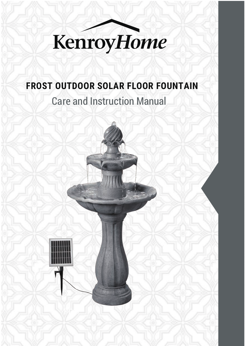

## **FROST OUTDOOR SOLAR FLOOR FOUNTAIN**

Care and Instruction Manual

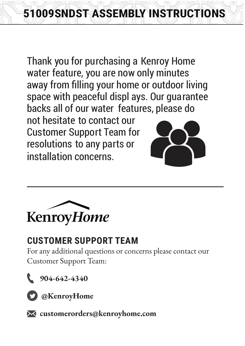Thank you for purchasing a Kenroy Home water feature, you are now only minutes away from filling your home or outdoor living space with peaceful displ ays. Our guarantee backs all of our water features, please do not hesitate to contact our Customer Support Team for

resolutions to any parts or installation concerns.





## **CUSTOMER SUPPORT TEAM**

For any additional questions or concerns please contact our Customer Support Team:



 **904-642-4340**



 **@KenroyHome**

 **customerorders@kenroyhome.com**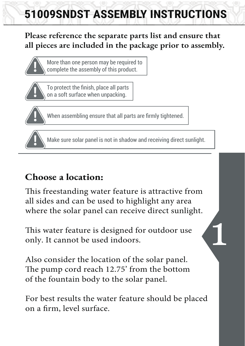## **Please reference the separate parts list and ensure that all pieces are included in the package prior to assembly.**



More than one person may be required to complete the assembly of this product.



To protect the finish, place all parts on a soft surface when unpacking.



When assembling ensure that all parts are firmly tightened.



Make sure solar panel is not in shadow and receiving direct sunlight.

## **Choose a location:**

This freestanding water feature is attractive from all sides and can be used to highlight any area where the solar panel can receive direct sunlight.

This water feature is designed for outdoor use only. It cannot be used indoors.

Also consider the location of the solar panel. The pump cord reach 12.75' from the bottom of the fountain body to the solar panel.

For best results the water feature should be placed on a firm, level surface.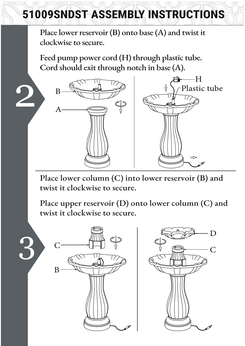Place lower reservoir (B) onto base (A) and twist it clockwise to secure.

Feed pump power cord (H) through plastic tube. Cord should exit through notch in base (A).



Place lower column (C) into lower reservoir (B) and twist it clockwise to secure.

Place upper reservoir (D) onto lower column (C) and twist it clockwise to secure.

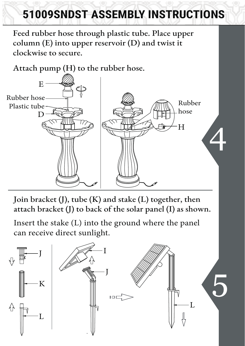Feed rubber hose through plastic tube. Place upper column (E) into upper reservoir (D) and twist it clockwise to secure.

Attach pump (H) to the rubber hose.



Join bracket (J), tube (K) and stake (L) together, then attach bracket (J) to back of the solar panel (I) as shown.

Insert the stake (L) into the ground where the panel can receive direct sunlight.

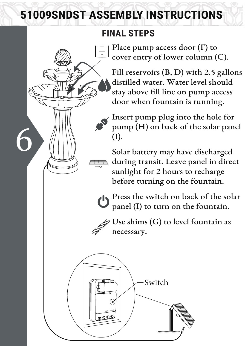## **FINAL STEPS**

Place pump access door (F) to cover entry of lower column (C).

Fill reservoirs (B, D) with 2.5 gallons distilled water. Water level should stay above fill line on pump access door when fountain is running.

Insert pump plug into the hole for pump (H) on back of the solar panel (I).

Solar battery may have discharged during transit. Leave panel in direct sunlight for 2 hours to recharge before turning on the fountain.

**Press the switch on back of the solar** panel (I) to turn on the fountain.

 $\hat{\gg}$  Use shims (G) to level fountain as necessary.

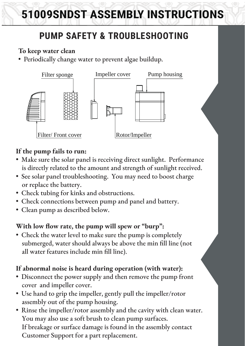## **PUMP SAFETY & TROUBLESHOOTING**

### **To keep water clean**

• Periodically change water to prevent algae buildup.



### **If the pump fails to run:**

- Make sure the solar panel is receiving direct sunlight. Performance is directly related to the amount and strength of sunlight received.
- See solar panel troubleshooting. You may need to boost charge or replace the battery.
- Check tubing for kinks and obstructions.
- Check connections between pump and panel and battery.
- Clean pump as described below.

### With low flow rate, the pump will spew or "burp":

• Check the water level to make sure the pump is completely submerged, water should always be above the min fill line (not all water features include min fill line).

### **If abnormal noise is heard during operation (with water):**

- Disconnect the power supply and then remove the pump front cover and impeller cover.
- Use hand to grip the impeller, gently pull the impeller/rotor assembly out of the pump housing.
- Rinse the impeller/rotor assembly and the cavity with clean water. You may also use a soft brush to clean pump surfaces. If breakage or surface damage is found in the assembly contact Customer Support for a part replacement.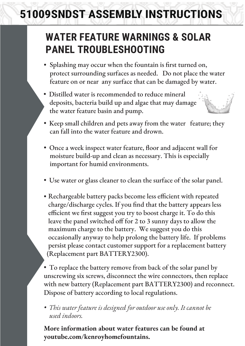## **WATER FEATURE WARNINGS & SOLAR PANEL TROUBLESHOOTING**

- protect surrounding surfaces as needed. Do not place the water Splashing may occur when the fountain is first turned on, feature on or near any surface that can be damaged by water.
- Distilled water is recommended to reduce mineral deposits, bacteria build up and algae that may damage the water feature basin and pump.



- Keep small children and pets away from the water feature; they can fall into the water feature and drown.
- moisture build-up and clean as necessary. This is especially Once a week inspect water feature, floor and adjacent wall for important for humid environments.
- Use water or glass cleaner to clean the surface of the solar panel.
- maximum charge to the battery. We suggest you do this Rechargeable battery packs become less efficient with repeated charge/discharge cycles. If you find that the battery appears less efficient we first suggest you try to boost charge it. To do this leave the panel switched off for 2 to 3 sunny days to allow the occasionally anyway to help prolong the battery life. If problems persist please contact customer support for a replacement battery (Replacement part BATTERY2300).

• To replace the battery remove from back of the solar panel by unscrewing six screws, disconnect the wire connectors, then replace with new battery (Replacement part BATTERY2300) and reconnect. Dispose of battery according to local regulations.

*• This water feature is designed for outdoor use only. It cannot be used indoors.*

**More information about water features can be found at youtube.com/kenroyhomefountains.**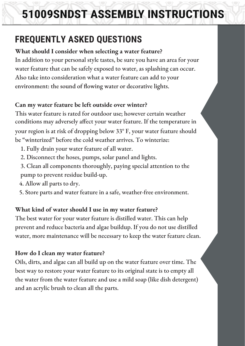## **FREQUENTLY ASKED QUESTIONS**

**What should I consider when selecting a water feature?** In addition to your personal style tastes, be sure you have an area for your water feature that can be safely exposed to water, as splashing can occur. Also take into consideration what a water feature can add to your environment: the sound of flowing water or decorative lights.

### **Can my water feature be left outside over winter?**

This water feature is rated for outdoor use; however certain weather conditions may adversely affect your water feature. If the temperature in your region is at risk of dropping below 33° F, your water feature should be "winterized" before the cold weather arrives. To winterize:

- 1. Fully drain your water feature of all water.
- 2. Disconnect the hoses, pumps, solar panel and lights.
- 3. Clean all components thoroughly, paying special attention to the pump to prevent residue build-up.
- 4. Allow all parts to dry.
- 5. Store parts and water feature in a safe, weather-free environment.

### **What kind of water should I use in my water feature?**

The best water for your water feature is distilled water. This can help prevent and reduce bacteria and algae buildup. If you do not use distilled water, more maintenance will be necessary to keep the water feature clean.

### **How do I clean my water feature?**

Oils, dirts, and algae can all build up on the water feature over time. The best way to restore your water feature to its original state is to empty all the water from the water feature and use a mild soap (like dish detergent) and an acrylic brush to clean all the parts.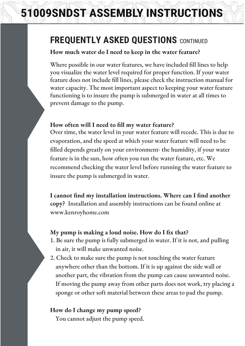## **FREQUENTLY ASKED QUESTIONS** CONTINUED

#### **How much water do I need to keep in the water feature?**

Where possible in our water features, we have included fill lines to help you visualize the water level required for proper function. If your water feature does not include fill lines, please check the instruction manual for water capacity. The most important aspect to keeping your water feature functioning is to insure the pump is submerged in water at all times to prevent damage to the pump.

#### **How often will I need to fill my water feature?**

Over time, the water level in your water feature will recede. This is due to evaporation, and the speed at which your water feature will need to be filled depends greatly on your environment- the humidity, if your water feature is in the sun, how often you run the water feature, etc. We recommend checking the water level before running the water feature to insure the pump is submerged in water.

**I cannot find my installation instructions. Where can I find another copy?** Installation and assembly instructions can be found online at www.kenroyhome.com

#### **My pump is making a loud noise. How do I fix that?**

- 1. Be sure the pump is fully submerged in water. If it is not, and pulling in air, it will make unwanted noise.
- 2. Check to make sure the pump is not touching the water feature anywhere other than the bottom. If it is up against the side wall or another part, the vibration from the pump can cause unwanted noise. If moving the pump away from other parts does not work, try placing a sponge or other soft material between these areas to pad the pump.

#### **How do I change my pump speed?**

You cannot adjust the pump speed.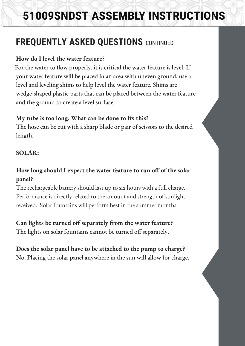## **FREQUENTLY ASKED QUESTIONS** CONTINUED

#### **How do I level the water feature?**

For the water to flow properly, it is critical the water feature is level. If your water feature will be placed in an area with uneven ground, use a level and leveling shims to help level the water feature. Shims are wedge-shaped plastic parts that can be placed between the water feature and the ground to create a level surface.

#### **My tube is too long. What can be done to fix this?**

The hose can be cut with a sharp blade or pair of scissors to the desired length.

#### **SOLAR:**

### **How long should I expect the water feature to run off of the solar panel?**

The rechargeable battery should last up to six hours with a full charge. Performance is directly related to the amount and strength of sunlight received. Solar fountains will perform best in the summer months.

#### **Can lights be turned off separately from the water feature?**

The lights on solar fountains cannot be turned off separately.

### **Does the solar panel have to be attached to the pump to charge?**

No. Placing the solar panel anywhere in the sun will allow for charge.